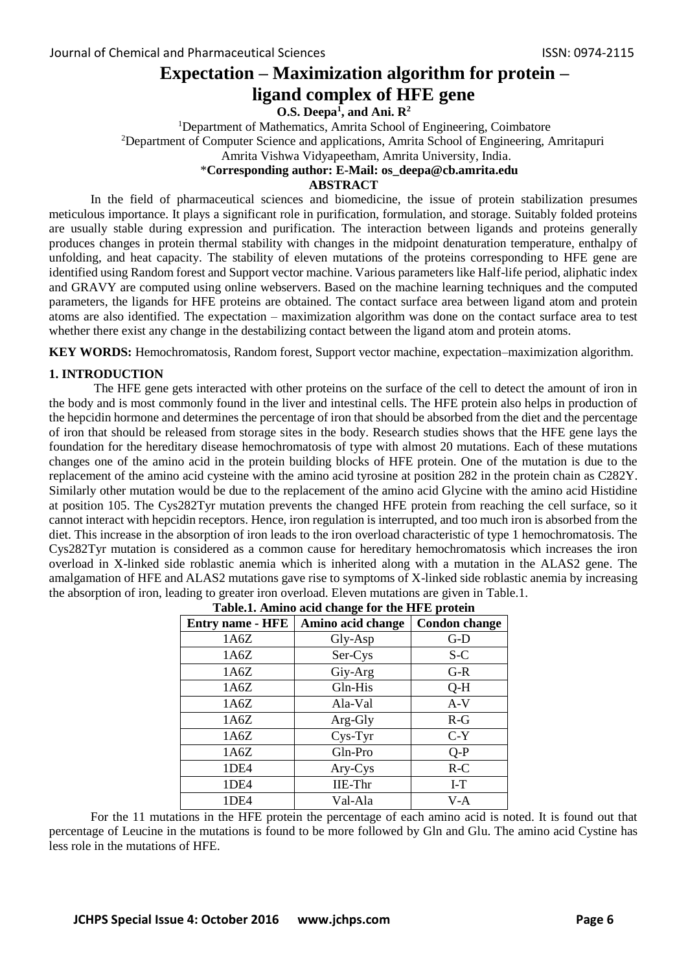# **Expectation – Maximization algorithm for protein – ligand complex of HFE gene**

**O.S. Deepa<sup>1</sup> , and Ani. R<sup>2</sup>**

<sup>1</sup>Department of Mathematics, Amrita School of Engineering, Coimbatore <sup>2</sup>Department of Computer Science and applications, Amrita School of Engineering, Amritapuri

Amrita Vishwa Vidyapeetham, Amrita University, India.

## \***Corresponding author: E-Mail: os\_deepa@cb.amrita.edu**

## **ABSTRACT**

In the field of pharmaceutical sciences and biomedicine, the issue of protein stabilization presumes meticulous importance. It plays a significant role in purification, formulation, and storage. Suitably folded proteins are usually stable during expression and purification. The interaction between ligands and proteins generally produces changes in protein thermal stability with changes in the midpoint denaturation temperature, enthalpy of unfolding, and heat capacity. The stability of eleven mutations of the proteins corresponding to HFE gene are identified using Random forest and Support vector machine. Various parameters like Half-life period, aliphatic index and GRAVY are computed using online webservers. Based on the machine learning techniques and the computed parameters, the ligands for HFE proteins are obtained. The contact surface area between ligand atom and protein atoms are also identified. The expectation – maximization algorithm was done on the contact surface area to test whether there exist any change in the destabilizing contact between the ligand atom and protein atoms.

**KEY WORDS:** Hemochromatosis, Random forest, Support vector machine, expectation–maximization algorithm.

#### **1. INTRODUCTION**

The HFE gene gets interacted with other proteins on the surface of the cell to detect the amount of iron in the body and is most commonly found in the liver and intestinal cells. The HFE protein also helps in production of the hepcidin hormone and determines the percentage of iron that should be absorbed from the diet and the percentage of iron that should be released from storage sites in the body. Research studies shows that the HFE gene lays the foundation for the hereditary disease hemochromatosis of type with almost 20 mutations. Each of these mutations changes one of the amino acid in the protein building blocks of HFE protein. One of the mutation is due to the replacement of the amino acid cysteine with the amino acid tyrosine at position 282 in the protein chain as C282Y. Similarly other mutation would be due to the replacement of the amino acid Glycine with the amino acid Histidine at position 105. The Cys282Tyr mutation prevents the changed HFE protein from reaching the cell surface, so it cannot interact with hepcidin receptors. Hence, iron regulation is interrupted, and too much iron is absorbed from the diet. This increase in the absorption of iron leads to the iron overload characteristic of type 1 hemochromatosis. The Cys282Tyr mutation is considered as a common cause for hereditary hemochromatosis which increases the iron overload in X-linked side roblastic anemia which is inherited along with a mutation in the ALAS2 gene. The amalgamation of HFE and ALAS2 mutations gave rise to symptoms of X-linked side roblastic anemia by increasing the absorption of iron, leading to greater iron overload. Eleven mutations are given in Table.1.

| rabicili Alinino aciu change for the fill b protein |                   |                      |  |  |  |  |  |  |  |
|-----------------------------------------------------|-------------------|----------------------|--|--|--|--|--|--|--|
| <b>Entry name - HFE</b>                             | Amino acid change | <b>Condon change</b> |  |  |  |  |  |  |  |
| 1A6Z                                                | Gly-Asp           | $G-D$                |  |  |  |  |  |  |  |
| 1A6Z                                                | Ser-Cys           | S-C                  |  |  |  |  |  |  |  |
| 1A6Z                                                | Giy-Arg           | $G-R$                |  |  |  |  |  |  |  |
| 1A6Z                                                | Gln-His           | $Q-H$                |  |  |  |  |  |  |  |
| 1A6Z                                                | Ala-Val           | $A-V$                |  |  |  |  |  |  |  |
| 1A6Z                                                | Arg-Gly           | $R-G$                |  |  |  |  |  |  |  |
| 1A6Z                                                | Cys-Tyr           | $C-Y$                |  |  |  |  |  |  |  |
| 1A6Z                                                | Gln-Pro           | $Q-P$                |  |  |  |  |  |  |  |
| 1DE4                                                | Ary-Cys           | $R-C$                |  |  |  |  |  |  |  |
| 1DE4                                                | <b>IIE-Thr</b>    | $I-T$                |  |  |  |  |  |  |  |
| 1DE4                                                | Val-Ala           | V-A                  |  |  |  |  |  |  |  |
|                                                     |                   |                      |  |  |  |  |  |  |  |

|  |  | Table.1. Amino acid change for the HFE protein |  |
|--|--|------------------------------------------------|--|
|--|--|------------------------------------------------|--|

For the 11 mutations in the HFE protein the percentage of each amino acid is noted. It is found out that percentage of Leucine in the mutations is found to be more followed by Gln and Glu. The amino acid Cystine has less role in the mutations of HFE.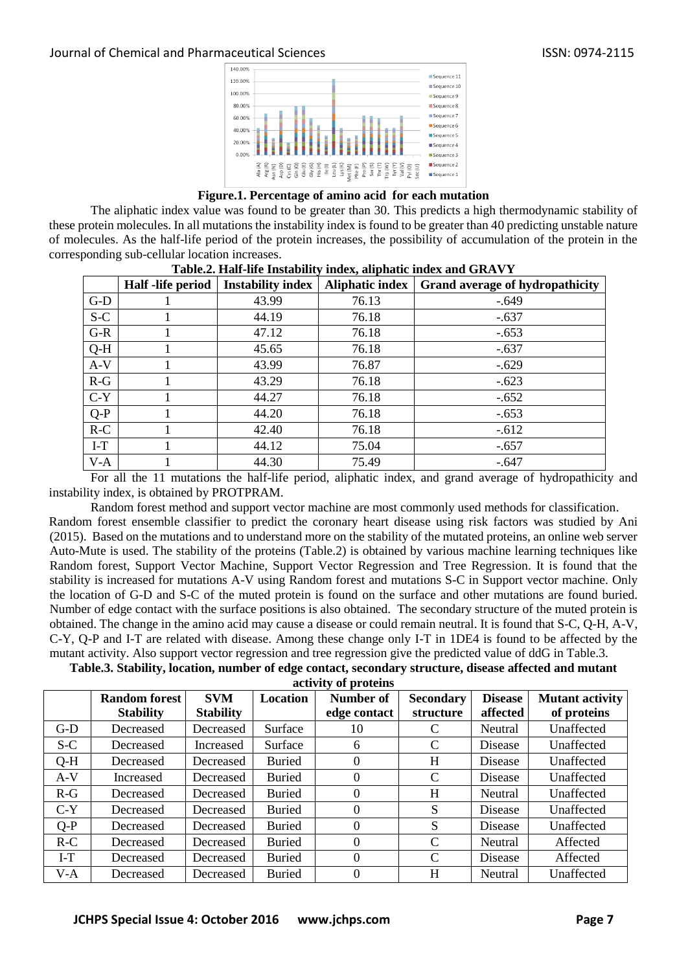



The aliphatic index value was found to be greater than 30. This predicts a high thermodynamic stability of these protein molecules. In all mutations the instability index is found to be greater than 40 predicting unstable nature of molecules. As the half-life period of the protein increases, the possibility of accumulation of the protein in the corresponding sub-cellular location increases.

|       |                   | Tubicis, Tight the Histubility Highly and higher the and OIMT (T |                 |                                 |
|-------|-------------------|------------------------------------------------------------------|-----------------|---------------------------------|
|       | Half -life period | <b>Instability index</b>                                         | Aliphatic index | Grand average of hydropathicity |
| $G-D$ |                   | 43.99                                                            | 76.13           | $-.649$                         |
| $S-C$ |                   | 44.19                                                            | 76.18           | $-.637$                         |
| $G-R$ |                   | 47.12                                                            | 76.18           | $-.653$                         |
| $Q-H$ |                   | 45.65                                                            | 76.18           | $-.637$                         |
| $A-V$ |                   | 43.99                                                            | 76.87           | $-.629$                         |
| $R-G$ |                   | 43.29                                                            | 76.18           | $-.623$                         |
| $C-Y$ |                   | 44.27                                                            | 76.18           | $-.652$                         |
| $Q-P$ |                   | 44.20                                                            | 76.18           | $-.653$                         |
| $R-C$ |                   | 42.40                                                            | 76.18           | $-.612$                         |
| $I-T$ |                   | 44.12                                                            | 75.04           | $-.657$                         |
| $V-A$ |                   | 44.30                                                            | 75.49           | $-.647$                         |

| Table.2. Half-life Instability index, aliphatic index and GRAVY |  |  |
|-----------------------------------------------------------------|--|--|
|                                                                 |  |  |

For all the 11 mutations the half-life period, aliphatic index, and grand average of hydropathicity and instability index, is obtained by PROTPRAM.

Random forest method and support vector machine are most commonly used methods for classification. Random forest ensemble classifier to predict the coronary heart disease using risk factors was studied by Ani (2015). Based on the mutations and to understand more on the stability of the mutated proteins, an online web server Auto-Mute is used. The stability of the proteins (Table.2) is obtained by various machine learning techniques like Random forest, Support Vector Machine, Support Vector Regression and Tree Regression. It is found that the stability is increased for mutations A-V using Random forest and mutations S-C in Support vector machine. Only the location of G-D and S-C of the muted protein is found on the surface and other mutations are found buried. Number of edge contact with the surface positions is also obtained. The secondary structure of the muted protein is obtained. The change in the amino acid may cause a disease or could remain neutral. It is found that S-C, Q-H, A-V, C-Y, Q-P and I-T are related with disease. Among these change only I-T in 1DE4 is found to be affected by the mutant activity. Also support vector regression and tree regression give the predicted value of ddG in Table.3.

**Table.3. Stability, location, number of edge contact, secondary structure, disease affected and mutant activity of proteins** 

|       | <b>Random forest</b> | <b>SVM</b>       | <b>Location</b> | Number of    | <b>Secondary</b> | <b>Disease</b> | Mutant activity |
|-------|----------------------|------------------|-----------------|--------------|------------------|----------------|-----------------|
|       | <b>Stability</b>     | <b>Stability</b> |                 | edge contact | structure        | affected       | of proteins     |
| $G-D$ | Decreased            | Decreased        | Surface         | 10           |                  | Neutral        | Unaffected      |
| $S-C$ | Decreased            | Increased        | Surface         | 6            | $\mathcal{C}$    | Disease        | Unaffected      |
| $Q-H$ | Decreased            | Decreased        | <b>Buried</b>   | 0            | H                | Disease        | Unaffected      |
| $A-V$ | Increased            | Decreased        | <b>Buried</b>   | $\theta$     | C                | Disease        | Unaffected      |
| $R-G$ | Decreased            | Decreased        | <b>Buried</b>   | $\theta$     | H                | Neutral        | Unaffected      |
| $C-Y$ | Decreased            | Decreased        | <b>Buried</b>   | $\theta$     | S                | Disease        | Unaffected      |
| $Q-P$ | Decreased            | Decreased        | <b>Buried</b>   | 0            | S                | Disease        | Unaffected      |
| $R-C$ | Decreased            | Decreased        | <b>Buried</b>   | $\Omega$     | $\mathcal{C}$    | Neutral        | Affected        |
| $I-T$ | Decreased            | Decreased        | <b>Buried</b>   | $\theta$     | C                | Disease        | Affected        |
| $V-A$ | Decreased            | Decreased        | <b>Buried</b>   | 0            | H                | Neutral        | Unaffected      |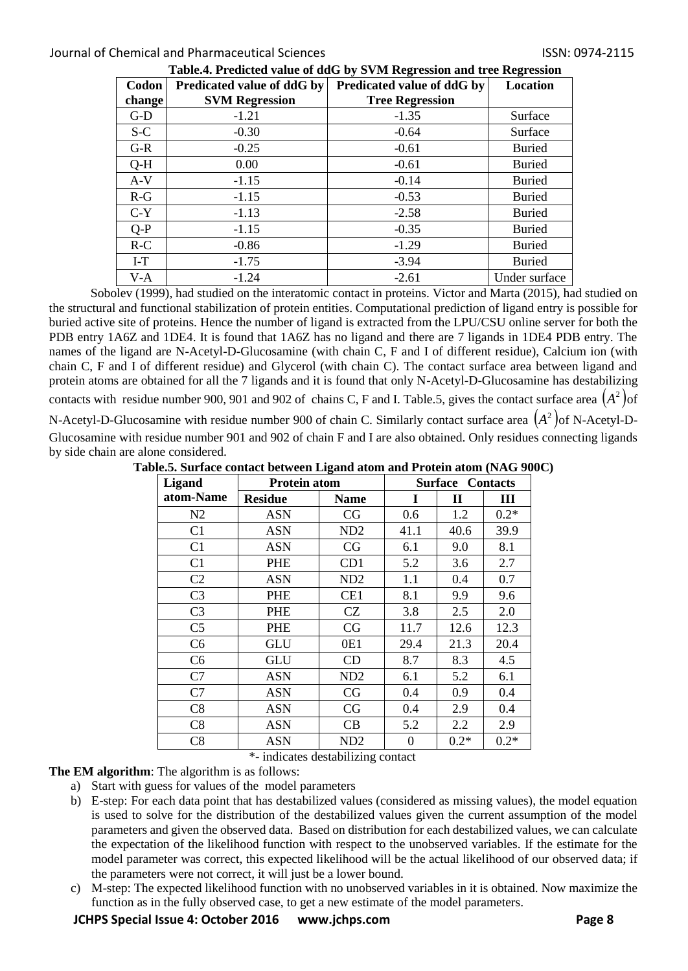## Journal of Chemical and Pharmaceutical Sciences ISSN: 0974-2115

| Codon  | Predicated value of ddG by | Predicated value of ddG by | <del>. .</del><br>Location |
|--------|----------------------------|----------------------------|----------------------------|
| change | <b>SVM Regression</b>      | <b>Tree Regression</b>     |                            |
| $G-D$  | $-1.21$                    | $-1.35$                    | Surface                    |
| $S-C$  | $-0.30$                    | $-0.64$                    | Surface                    |
| $G-R$  | $-0.25$                    | $-0.61$                    | <b>Buried</b>              |
| $O-H$  | 0.00                       | $-0.61$                    | <b>Buried</b>              |
| $A-V$  | $-1.15$                    | $-0.14$                    | <b>Buried</b>              |
| $R-G$  | $-1.15$                    | $-0.53$                    | <b>Buried</b>              |
| $C-Y$  | $-1.13$                    | $-2.58$                    | <b>Buried</b>              |
| $Q-P$  | $-1.15$                    | $-0.35$                    | <b>Buried</b>              |
| $R-C$  | $-0.86$                    | $-1.29$                    | <b>Buried</b>              |
| $I-T$  | $-1.75$                    | $-3.94$                    | <b>Buried</b>              |
| $V-A$  | $-1.24$                    | $-2.61$                    | Under surface              |

**Table.4. Predicted value of ddG by SVM Regression and tree Regression** 

Sobolev (1999), had studied on the interatomic contact in proteins. Victor and Marta (2015), had studied on the structural and functional stabilization of protein entities. Computational prediction of ligand entry is possible for buried active site of proteins. Hence the number of ligand is extracted from the LPU/CSU online server for both the PDB entry 1A6Z and 1DE4. It is found that 1A6Z has no ligand and there are 7 ligands in 1DE4 PDB entry. The names of the ligand are N-Acetyl-D-Glucosamine (with chain C, F and I of different residue), Calcium ion (with chain C, F and I of different residue) and Glycerol (with chain C). The contact surface area between ligand and protein atoms are obtained for all the 7 ligands and it is found that only N-Acetyl-D-Glucosamine has destabilizing contacts with residue number 900, 901 and 902 of chains C, F and I. Table.5, gives the contact surface area  $(A^2)$ of

N-Acetyl-D-Glucosamine with residue number 900 of chain C. Similarly contact surface area  $\big(A^2\big)$ of N-Acetyl-D-Glucosamine with residue number 901 and 902 of chain F and I are also obtained. Only residues connecting ligands by side chain are alone considered.

| Table.5. Surface contact between Ligand atom and Protein atom (NAG 900C) |  |  |  |  |  |  |  |  |  |  |
|--------------------------------------------------------------------------|--|--|--|--|--|--|--|--|--|--|
|--------------------------------------------------------------------------|--|--|--|--|--|--|--|--|--|--|

| <b>Ligand</b>  | <b>Protein atom</b> | <b>Surface Contacts</b> |      |        |        |
|----------------|---------------------|-------------------------|------|--------|--------|
| atom-Name      | <b>Residue</b>      | <b>Name</b>             | I    | П      | Ш      |
| N <sub>2</sub> | <b>ASN</b>          | CG                      | 0.6  | 1.2    | $0.2*$ |
| C1             | <b>ASN</b>          | ND <sub>2</sub>         | 41.1 | 40.6   | 39.9   |
| C <sub>1</sub> | <b>ASN</b>          | CG                      | 6.1  | 9.0    | 8.1    |
| C1             | PHE                 | CD1                     | 5.2  | 3.6    | 2.7    |
| C <sub>2</sub> | ASN                 | ND <sub>2</sub>         | 1.1  | 0.4    | 0.7    |
| C <sub>3</sub> | PHE                 | CE1                     | 8.1  | 9.9    | 9.6    |
| C <sub>3</sub> | PHE                 | CZ                      | 3.8  | 2.5    | 2.0    |
| C <sub>5</sub> | PHE                 | CG                      | 11.7 | 12.6   | 12.3   |
| C <sub>6</sub> | GLU                 | 0E1                     | 29.4 | 21.3   | 20.4   |
| C <sub>6</sub> | <b>GLU</b>          | CD                      | 8.7  | 8.3    | 4.5    |
| C7             | <b>ASN</b>          | ND <sub>2</sub>         | 6.1  | 5.2    | 6.1    |
| C7             | ASN                 | CG                      | 0.4  | 0.9    | 0.4    |
| C8             | <b>ASN</b>          | CG                      | 0.4  | 2.9    | 0.4    |
| C8             | ASN                 | CB                      | 5.2  | 2.2    | 2.9    |
| C8             | <b>ASN</b>          | ND2                     | 0    | $0.2*$ | $0.2*$ |

\*- indicates destabilizing contact

**The EM algorithm**: The algorithm is as follows:

- a) Start with guess for values of the model parameters
- b) E-step: For each data point that has destabilized values (considered as missing values), the model equation is used to solve for the distribution of the destabilized values given the current assumption of the model parameters and given the observed data. Based on distribution for each destabilized values, we can calculate the expectation of the likelihood function with respect to the unobserved variables. If the estimate for the model parameter was correct, this expected likelihood will be the actual likelihood of our observed data; if the parameters were not correct, it will just be a lower bound.
- c) M-step: The expected likelihood function with no unobserved variables in it is obtained. Now maximize the function as in the fully observed case, to get a new estimate of the model parameters.